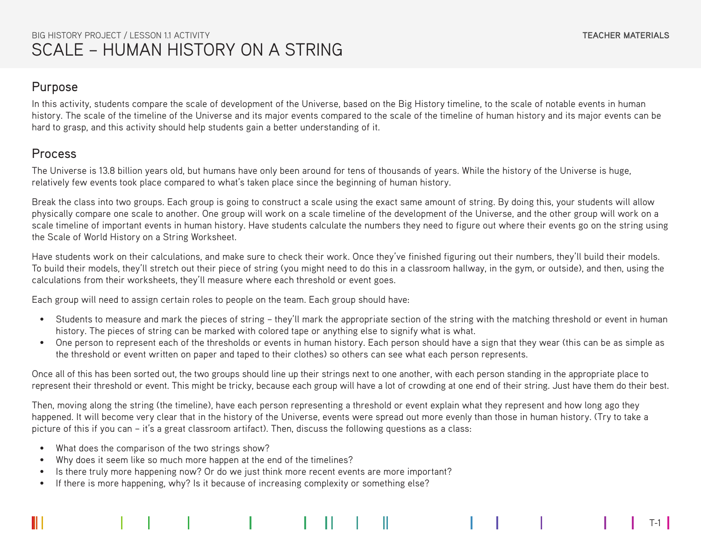## Purpose

In this activity, students compare the scale of development of the Universe, based on the Big History timeline, to the scale of notable events in human history. The scale of the timeline of the Universe and its major events compared to the scale of the timeline of human history and its major events can be hard to grasp, and this activity should help students gain a better understanding of it.

# Process

The Universe is 13.8 billion years old, but humans have only been around for tens of thousands of years. While the history of the Universe is huge, relatively few events took place compared to what's taken place since the beginning of human history.

Break the class into two groups. Each group is going to construct a scale using the exact same amount of string. By doing this, your students will allow physically compare one scale to another. One group will work on a scale timeline of the development of the Universe, and the other group will work on a scale timeline of important events in human history. Have students calculate the numbers they need to figure out where their events go on the string using the Scale of World History on a String Worksheet.

Have students work on their calculations, and make sure to check their work. Once they've finished figuring out their numbers, they'll build their models. To build their models, they'll stretch out their piece of string (you might need to do this in a classroom hallway, in the gym, or outside), and then, using the calculations from their worksheets, they'll measure where each threshold or event goes.

Each group will need to assign certain roles to people on the team. Each group should have:

- Students to measure and mark the pieces of string they'll mark the appropriate section of the string with the matching threshold or event in human history. The pieces of string can be marked with colored tape or anything else to signify what is what.
- One person to represent each of the thresholds or events in human history. Each person should have a sign that they wear (this can be as simple as the threshold or event written on paper and taped to their clothes) so others can see what each person represents.

Once all of this has been sorted out, the two groups should line up their strings next to one another, with each person standing in the appropriate place to represent their threshold or event. This might be tricky, because each group will have a lot of crowding at one end of their string. Just have them do their best.

Then, moving along the string (the timeline), have each person representing a threshold or event explain what they represent and how long ago they happened. It will become very clear that in the history of the Universe, events were spread out more evenly than those in human history. (Try to take a picture of this if you can – it's a great classroom artifact). Then, discuss the following questions as a class:

- What does the comparison of the two strings show?
- Why does it seem like so much more happen at the end of the timelines?
- Is there truly more happening now? Or do we just think more recent events are more important?
- If there is more happening, why? Is it because of increasing complexity or something else?

T-1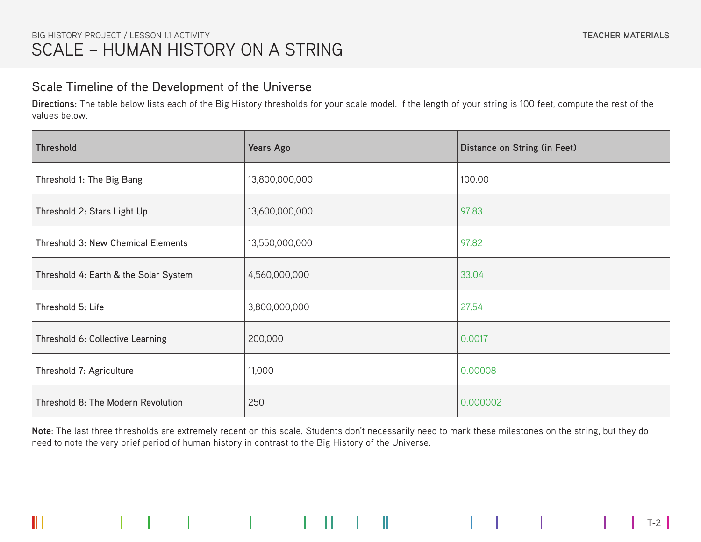#### Scale Timeline of the Development of the Universe

**Directions:** The table below lists each of the Big History thresholds for your scale model. If the length of your string is 100 feet, compute the rest of the values below.

| <b>Threshold</b>                      | Years Ago      | Distance on String (in Feet) |
|---------------------------------------|----------------|------------------------------|
| Threshold 1: The Big Bang             | 13,800,000,000 | 100.00                       |
| Threshold 2: Stars Light Up           | 13,600,000,000 | 97.83                        |
| Threshold 3: New Chemical Elements    | 13,550,000,000 | 97.82                        |
| Threshold 4: Earth & the Solar System | 4,560,000,000  | 33.04                        |
| Threshold 5: Life                     | 3,800,000,000  | 27.54                        |
| Threshold 6: Collective Learning      | 200,000        | 0.0017                       |
| Threshold 7: Agriculture              | 11,000         | 0.00008                      |
| Threshold 8: The Modern Revolution    | 250            | 0.000002                     |

**Note**: The last three thresholds are extremely recent on this scale. Students don't necessarily need to mark these milestones on the string, but they do need to note the very brief period of human history in contrast to the Big History of the Universe.

 $\mathbb{I}$ 

 $\begin{array}{c} \end{array}$ 

Ш

 $T-2$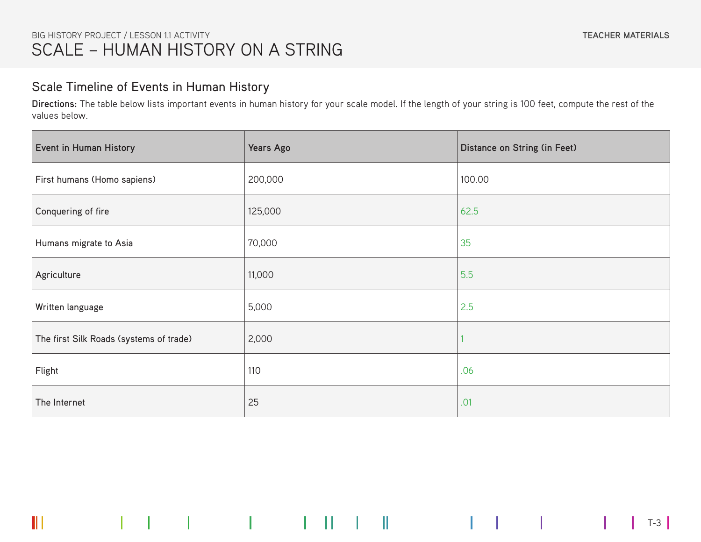## Scale Timeline of Events in Human History

Ш

**Directions:** The table below lists important events in human history for your scale model. If the length of your string is 100 feet, compute the rest of the values below.

| Event in Human History                  | <b>Years Ago</b> | Distance on String (in Feet) |
|-----------------------------------------|------------------|------------------------------|
| First humans (Homo sapiens)             | 200,000          | 100.00                       |
| Conquering of fire                      | 125,000          | 62.5                         |
| Humans migrate to Asia                  | 70,000           | 35                           |
| Agriculture                             | 11,000           | 5.5                          |
| Written language                        | 5,000            | 2.5                          |
| The first Silk Roads (systems of trade) | 2,000            |                              |
| Flight                                  | 110              | .06                          |
| The Internet                            | 25               | .01                          |

 $\begin{array}{c} \hline \end{array}$ 

 $T-3$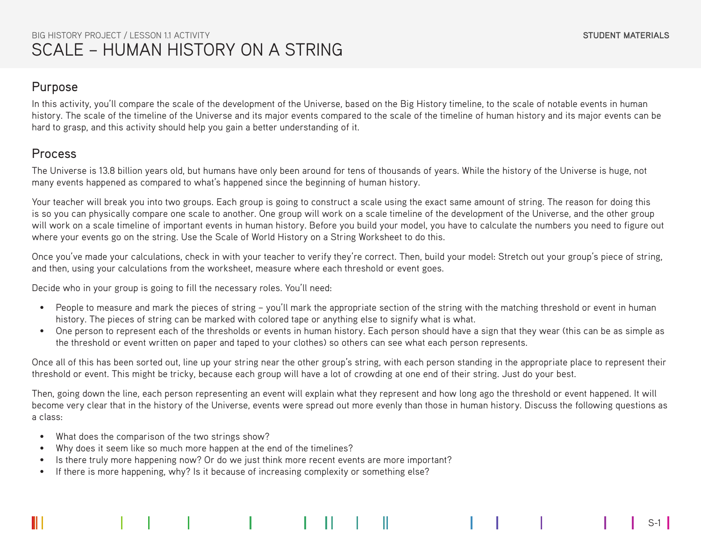## Purpose

In this activity, you'll compare the scale of the development of the Universe, based on the Big History timeline, to the scale of notable events in human history. The scale of the timeline of the Universe and its major events compared to the scale of the timeline of human history and its major events can be hard to grasp, and this activity should help you gain a better understanding of it.

# Process

The Universe is 13.8 billion years old, but humans have only been around for tens of thousands of years. While the history of the Universe is huge, not many events happened as compared to what's happened since the beginning of human history.

Your teacher will break you into two groups. Each group is going to construct a scale using the exact same amount of string. The reason for doing this is so you can physically compare one scale to another. One group will work on a scale timeline of the development of the Universe, and the other group will work on a scale timeline of important events in human history. Before you build your model, you have to calculate the numbers you need to figure out where your events go on the string. Use the Scale of World History on a String Worksheet to do this.

Once you've made your calculations, check in with your teacher to verify they're correct. Then, build your model: Stretch out your group's piece of string, and then, using your calculations from the worksheet, measure where each threshold or event goes.

Decide who in your group is going to fill the necessary roles. You'll need:

- People to measure and mark the pieces of string you'll mark the appropriate section of the string with the matching threshold or event in human history. The pieces of string can be marked with colored tape or anything else to signify what is what.
- One person to represent each of the thresholds or events in human history. Each person should have a sign that they wear (this can be as simple as the threshold or event written on paper and taped to your clothes) so others can see what each person represents.

Once all of this has been sorted out, line up your string near the other group's string, with each person standing in the appropriate place to represent their threshold or event. This might be tricky, because each group will have a lot of crowding at one end of their string. Just do your best.

Then, going down the line, each person representing an event will explain what they represent and how long ago the threshold or event happened. It will become very clear that in the history of the Universe, events were spread out more evenly than those in human history. Discuss the following questions as a class:

- What does the comparison of the two strings show?
- Why does it seem like so much more happen at the end of the timelines?
- Is there truly more happening now? Or do we just think more recent events are more important?
- If there is more happening, why? Is it because of increasing complexity or something else?

S-1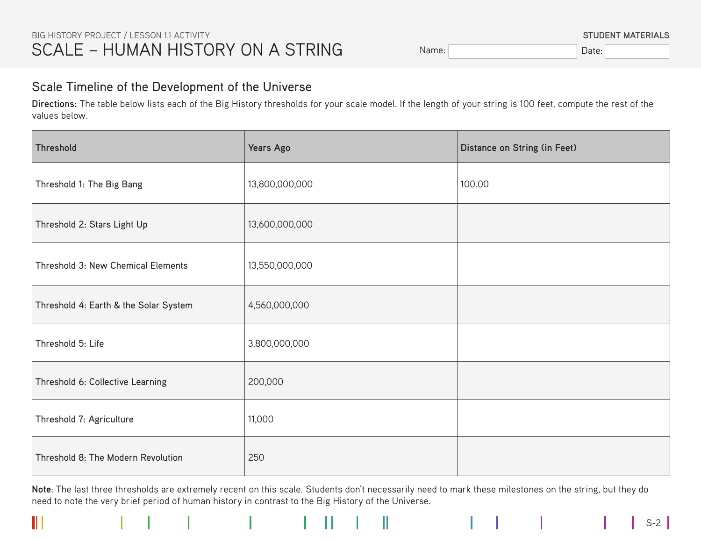Name: Date:

**STUDENT MATERIALS**

 $S-2$ 

## Scale Timeline of the Development of the Universe

**Directions:** The table below lists each of the Big History thresholds for your scale model. If the length of your string is 100 feet, compute the rest of the values below.

| <b>Threshold</b>                      | <b>Years Ago</b> | Distance on String (in Feet) |
|---------------------------------------|------------------|------------------------------|
| Threshold 1: The Big Bang             | 13,800,000,000   | 100.00                       |
| Threshold 2: Stars Light Up           | 13,600,000,000   |                              |
| Threshold 3: New Chemical Elements    | 13,550,000,000   |                              |
| Threshold 4: Earth & the Solar System | 4,560,000,000    |                              |
| Threshold 5: Life                     | 3,800,000,000    |                              |
| Threshold 6: Collective Learning      | 200,000          |                              |
| Threshold 7: Agriculture              | 11,000           |                              |
| Threshold 8: The Modern Revolution    | 250              |                              |

**Note**: The last three thresholds are extremely recent on this scale. Students don't necessarily need to mark these milestones on the string, but they do need to note the very brief period of human history in contrast to the Big History of the Universe.